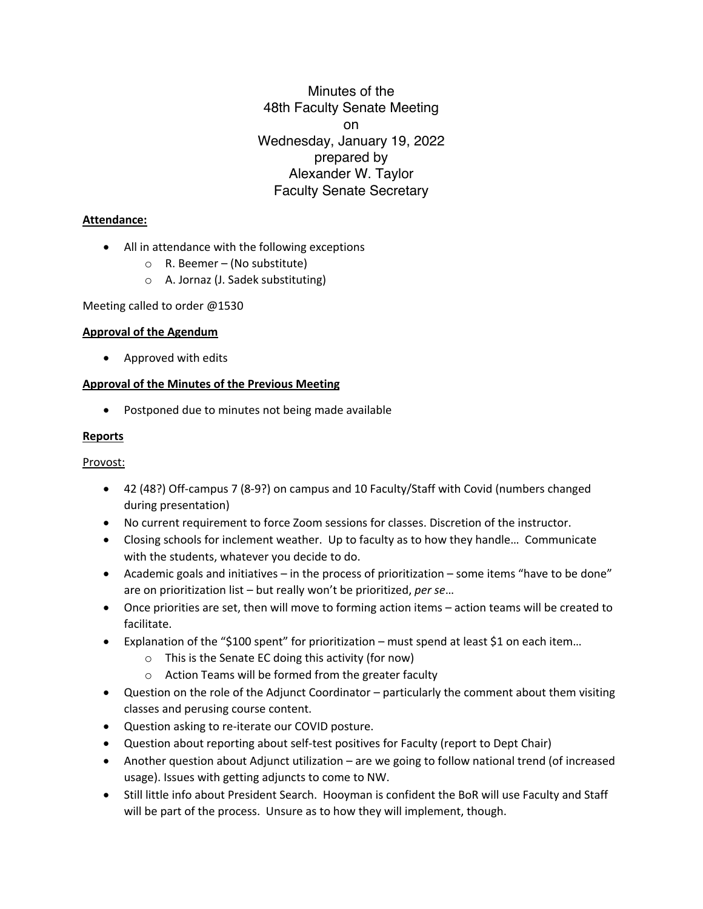Minutes of the 48th Faculty Senate Meeting on Wednesday, January 19, 2022 prepared by Alexander W. Taylor Faculty Senate Secretary

## **Attendance:**

- All in attendance with the following exceptions
	- $\circ$  R. Beemer (No substitute)
	- o A. Jornaz (J. Sadek substituting)

Meeting called to order @1530

### **Approval of the Agendum**

• Approved with edits

## **Approval of the Minutes of the Previous Meeting**

• Postponed due to minutes not being made available

### **Reports**

Provost:

- 42 (48?) Off-campus 7 (8-9?) on campus and 10 Faculty/Staff with Covid (numbers changed during presentation)
- No current requirement to force Zoom sessions for classes. Discretion of the instructor.
- Closing schools for inclement weather. Up to faculty as to how they handle… Communicate with the students, whatever you decide to do.
- Academic goals and initiatives in the process of prioritization some items "have to be done" are on prioritization list – but really won't be prioritized, *per se*…
- Once priorities are set, then will move to forming action items action teams will be created to facilitate.
- Explanation of the "\$100 spent" for prioritization must spend at least \$1 on each item...
	- o This is the Senate EC doing this activity (for now)
	- o Action Teams will be formed from the greater faculty
- Question on the role of the Adjunct Coordinator particularly the comment about them visiting classes and perusing course content.
- Question asking to re-iterate our COVID posture.
- Question about reporting about self-test positives for Faculty (report to Dept Chair)
- Another question about Adjunct utilization are we going to follow national trend (of increased usage). Issues with getting adjuncts to come to NW.
- Still little info about President Search. Hooyman is confident the BoR will use Faculty and Staff will be part of the process. Unsure as to how they will implement, though.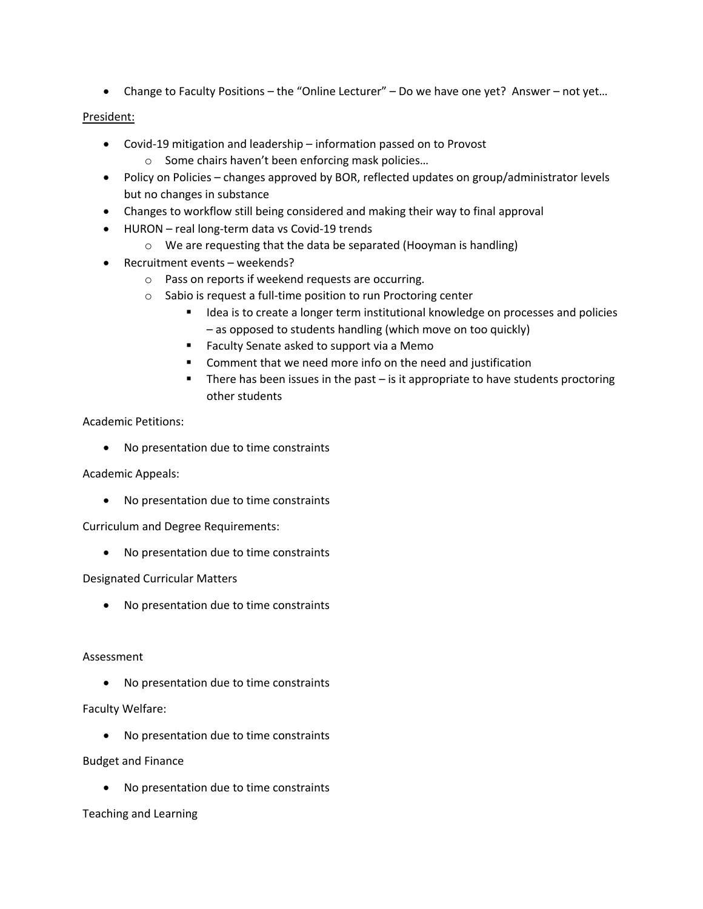• Change to Faculty Positions – the "Online Lecturer" – Do we have one yet? Answer – not yet…

### President:

- Covid-19 mitigation and leadership information passed on to Provost
	- o Some chairs haven't been enforcing mask policies…
- Policy on Policies changes approved by BOR, reflected updates on group/administrator levels but no changes in substance
- Changes to workflow still being considered and making their way to final approval
- HURON real long-term data vs Covid-19 trends
	- o We are requesting that the data be separated (Hooyman is handling)
- Recruitment events weekends?
	- o Pass on reports if weekend requests are occurring.
	- o Sabio is request a full-time position to run Proctoring center
		- Idea is to create a longer term institutional knowledge on processes and policies – as opposed to students handling (which move on too quickly)
		- Faculty Senate asked to support via a Memo
		- Comment that we need more info on the need and justification
		- There has been issues in the past is it appropriate to have students proctoring other students

### Academic Petitions:

• No presentation due to time constraints

Academic Appeals:

• No presentation due to time constraints

Curriculum and Degree Requirements:

• No presentation due to time constraints

## Designated Curricular Matters

• No presentation due to time constraints

### Assessment

• No presentation due to time constraints

Faculty Welfare:

• No presentation due to time constraints

Budget and Finance

• No presentation due to time constraints

Teaching and Learning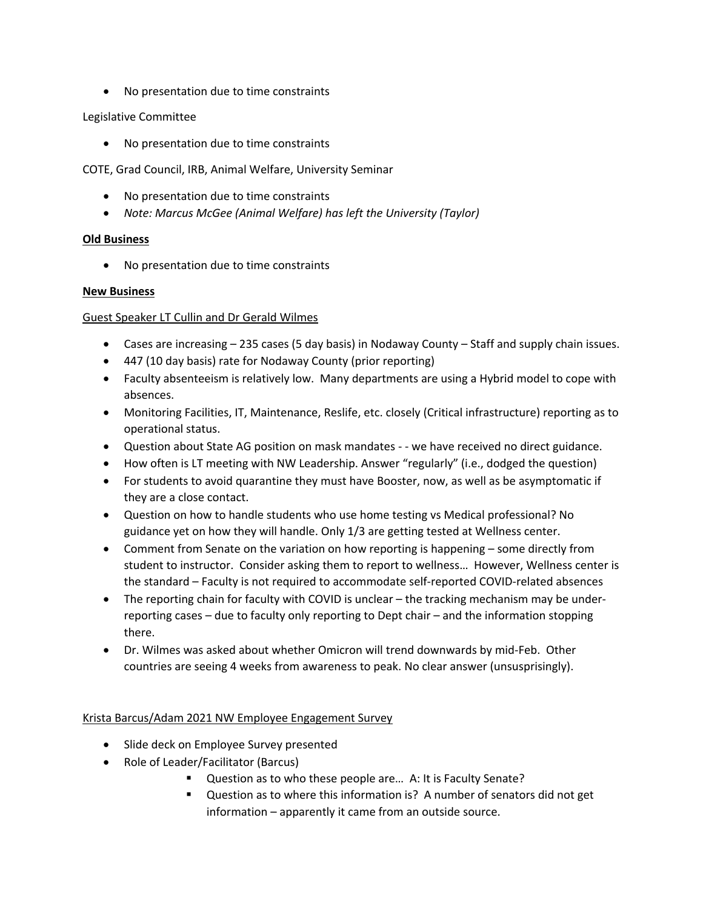• No presentation due to time constraints

# Legislative Committee

• No presentation due to time constraints

COTE, Grad Council, IRB, Animal Welfare, University Seminar

- No presentation due to time constraints
- *Note: Marcus McGee (Animal Welfare) has left the University (Taylor)*

# **Old Business**

• No presentation due to time constraints

## **New Business**

# Guest Speaker LT Cullin and Dr Gerald Wilmes

- Cases are increasing 235 cases (5 day basis) in Nodaway County Staff and supply chain issues.
- 447 (10 day basis) rate for Nodaway County (prior reporting)
- Faculty absenteeism is relatively low. Many departments are using a Hybrid model to cope with absences.
- Monitoring Facilities, IT, Maintenance, Reslife, etc. closely (Critical infrastructure) reporting as to operational status.
- Question about State AG position on mask mandates - we have received no direct guidance.
- How often is LT meeting with NW Leadership. Answer "regularly" (i.e., dodged the question)
- For students to avoid quarantine they must have Booster, now, as well as be asymptomatic if they are a close contact.
- Question on how to handle students who use home testing vs Medical professional? No guidance yet on how they will handle. Only 1/3 are getting tested at Wellness center.
- Comment from Senate on the variation on how reporting is happening some directly from student to instructor. Consider asking them to report to wellness… However, Wellness center is the standard – Faculty is not required to accommodate self-reported COVID-related absences
- The reporting chain for faculty with COVID is unclear the tracking mechanism may be underreporting cases – due to faculty only reporting to Dept chair – and the information stopping there.
- Dr. Wilmes was asked about whether Omicron will trend downwards by mid-Feb. Other countries are seeing 4 weeks from awareness to peak. No clear answer (unsusprisingly).

## Krista Barcus/Adam 2021 NW Employee Engagement Survey

- Slide deck on Employee Survey presented
- Role of Leader/Facilitator (Barcus)
	- Question as to who these people are... A: It is Faculty Senate?
	- Question as to where this information is? A number of senators did not get information – apparently it came from an outside source.